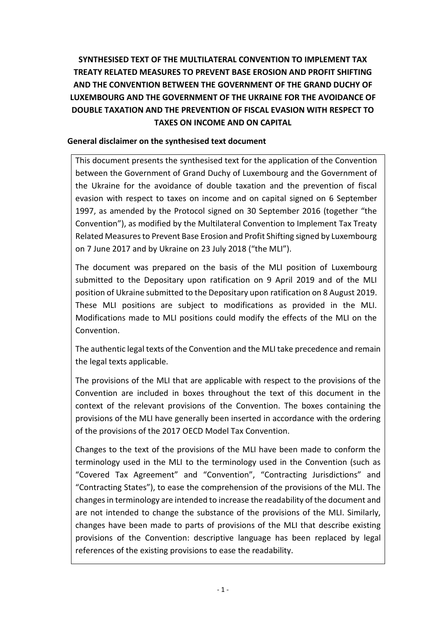# **SYNTHESISED TEXT OF THE MULTILATERAL CONVENTION TO IMPLEMENT TAX TREATY RELATED MEASURES TO PREVENT BASE EROSION AND PROFIT SHIFTING AND THE CONVENTION BETWEEN THE GOVERNMENT OF THE GRAND DUCHY OF LUXEMBOURG AND THE GOVERNMENT OF THE UKRAINE FOR THE AVOIDANCE OF DOUBLE TAXATION AND THE PREVENTION OF FISCAL EVASION WITH RESPECT TO TAXES ON INCOME AND ON CAPITAL**

#### **General disclaimer on the synthesised text document**

This document presents the synthesised text for the application of the Convention between the Government of Grand Duchy of Luxembourg and the Government of the Ukraine for the avoidance of double taxation and the prevention of fiscal evasion with respect to taxes on income and on capital signed on 6 September 1997, as amended by the Protocol signed on 30 September 2016 (together "the Convention"), as modified by the Multilateral Convention to Implement Tax Treaty Related Measures to Prevent Base Erosion and Profit Shifting signed by Luxembourg on 7 June 2017 and by Ukraine on 23 July 2018 ("the MLI").

The document was prepared on the basis of the MLI position of Luxembourg submitted to the Depositary upon ratification on 9 April 2019 and of the MLI position of Ukraine submitted to the Depositary upon ratification on 8 August 2019. These MLI positions are subject to modifications as provided in the MLI. Modifications made to MLI positions could modify the effects of the MLI on the Convention.

The authentic legal texts of the Convention and the MLI take precedence and remain the legal texts applicable.

The provisions of the MLI that are applicable with respect to the provisions of the Convention are included in boxes throughout the text of this document in the context of the relevant provisions of the Convention. The boxes containing the provisions of the MLI have generally been inserted in accordance with the ordering of the provisions of the 2017 OECD Model Tax Convention.

Changes to the text of the provisions of the MLI have been made to conform the terminology used in the MLI to the terminology used in the Convention (such as "Covered Tax Agreement" and "Convention", "Contracting Jurisdictions" and "Contracting States"), to ease the comprehension of the provisions of the MLI. The changes in terminology are intended to increase the readability of the document and are not intended to change the substance of the provisions of the MLI. Similarly, changes have been made to parts of provisions of the MLI that describe existing provisions of the Convention: descriptive language has been replaced by legal references of the existing provisions to ease the readability.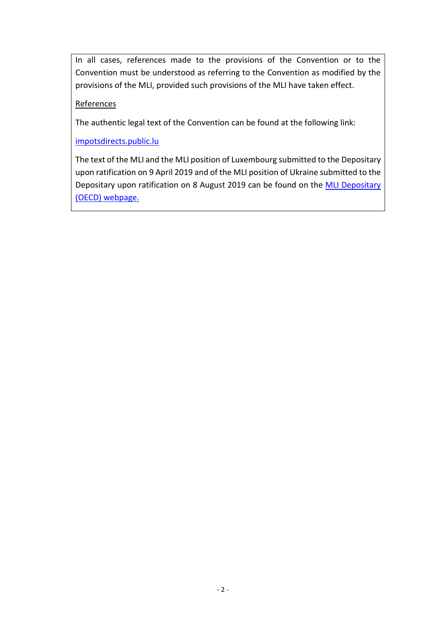In all cases, references made to the provisions of the Convention or to the Convention must be understood as referring to the Convention as modified by the provisions of the MLI, provided such provisions of the MLI have taken effect.

# References

The authentic legal text of the Convention can be found at the following link:

[impotsdirects.public.lu](https://impotsdirects.public.lu/fr.html)

The text of the MLI and the MLI position of Luxembourg submitted to the Depositary upon ratification on 9 April 2019 and of the MLI position of Ukraine submitted to the Depositary upon ratification on 8 August 2019 can be found on the [MLI Depositary](https://www.oecd.org/tax/treaties/multilateral-convention-to-implement-tax-treaty-related-measures-to-prevent-beps.htm)  [\(OECD\) webpage.](https://www.oecd.org/tax/treaties/multilateral-convention-to-implement-tax-treaty-related-measures-to-prevent-beps.htm)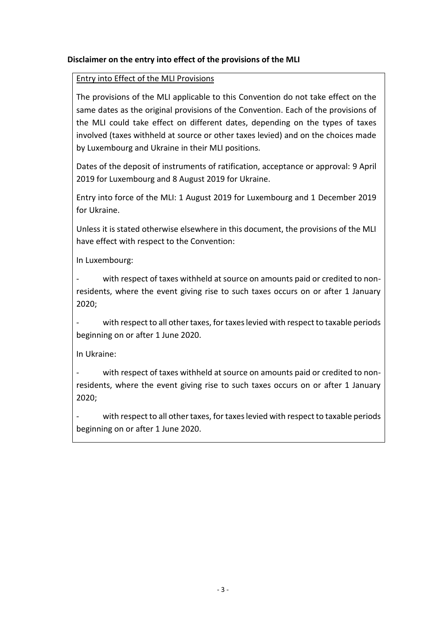# **Disclaimer on the entry into effect of the provisions of the MLI**

#### Entry into Effect of the MLI Provisions

The provisions of the MLI applicable to this Convention do not take effect on the same dates as the original provisions of the Convention. Each of the provisions of the MLI could take effect on different dates, depending on the types of taxes involved (taxes withheld at source or other taxes levied) and on the choices made by Luxembourg and Ukraine in their MLI positions.

Dates of the deposit of instruments of ratification, acceptance or approval: 9 April 2019 for Luxembourg and 8 August 2019 for Ukraine.

Entry into force of the MLI: 1 August 2019 for Luxembourg and 1 December 2019 for Ukraine.

Unless it is stated otherwise elsewhere in this document, the provisions of the MLI have effect with respect to the Convention:

In Luxembourg:

with respect of taxes withheld at source on amounts paid or credited to nonresidents, where the event giving rise to such taxes occurs on or after 1 January 2020;

with respect to all other taxes, for taxes levied with respect to taxable periods beginning on or after 1 June 2020.

In Ukraine:

with respect of taxes withheld at source on amounts paid or credited to nonresidents, where the event giving rise to such taxes occurs on or after 1 January 2020;

with respect to all other taxes, for taxes levied with respect to taxable periods beginning on or after 1 June 2020.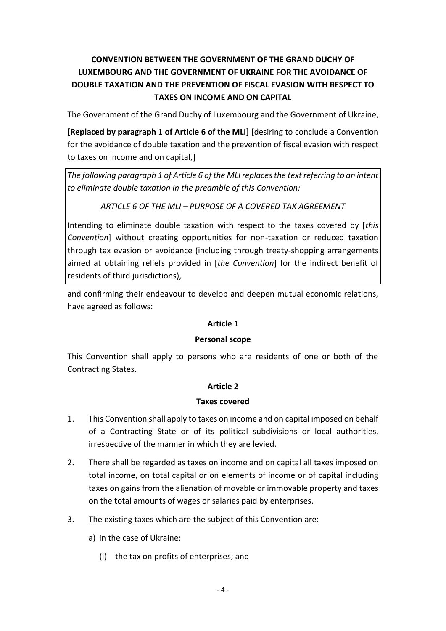# **CONVENTION BETWEEN THE GOVERNMENT OF THE GRAND DUCHY OF LUXEMBOURG AND THE GOVERNMENT OF UKRAINE FOR THE AVOIDANCE OF DOUBLE TAXATION AND THE PREVENTION OF FISCAL EVASION WITH RESPECT TO TAXES ON INCOME AND ON CAPITAL**

The Government of the Grand Duchy of Luxembourg and the Government of Ukraine,

**[Replaced by paragraph 1 of Article 6 of the MLI]** [desiring to conclude a Convention for the avoidance of double taxation and the prevention of fiscal evasion with respect to taxes on income and on capital,]

The following paragraph 1 of Article 6 of the MLI replaces the text referring to an intent *to eliminate double taxation in the preamble of this Convention:*

*ARTICLE 6 OF THE MLI – PURPOSE OF A COVERED TAX AGREEMENT*

Intending to eliminate double taxation with respect to the taxes covered by [*this Convention*] without creating opportunities for non-taxation or reduced taxation through tax evasion or avoidance (including through treaty-shopping arrangements aimed at obtaining reliefs provided in [*the Convention*] for the indirect benefit of residents of third jurisdictions),

and confirming their endeavour to develop and deepen mutual economic relations, have agreed as follows:

#### **Article 1**

#### **Personal scope**

This Convention shall apply to persons who are residents of one or both of the Contracting States.

#### **Article 2**

#### **Taxes covered**

- 1. This Convention shall apply to taxes on income and on capital imposed on behalf of a Contracting State or of its political subdivisions or local authorities, irrespective of the manner in which they are levied.
- 2. There shall be regarded as taxes on income and on capital all taxes imposed on total income, on total capital or on elements of income or of capital including taxes on gains from the alienation of movable or immovable property and taxes on the total amounts of wages or salaries paid by enterprises.
- 3. The existing taxes which are the subject of this Convention are:
	- a) in the case of Ukraine:
		- (i) the tax on profits of enterprises; and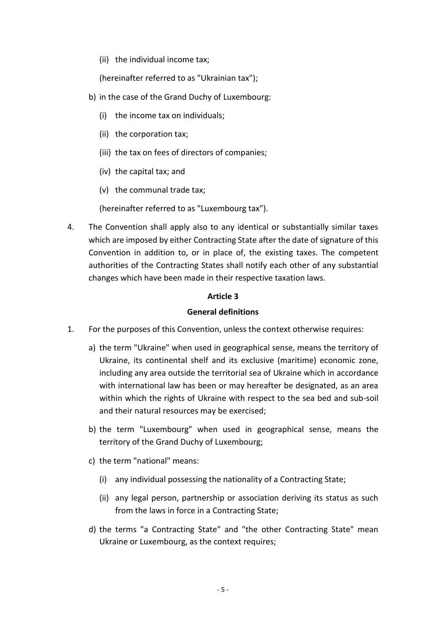(ii) the individual income tax;

(hereinafter referred to as "Ukrainian tax");

- b) in the case of the Grand Duchy of Luxembourg:
	- (i) the income tax on individuals;
	- (ii) the corporation tax;
	- (iii) the tax on fees of directors of companies;
	- (iv) the capital tax; and
	- (v) the communal trade tax;

(hereinafter referred to as "Luxembourg tax").

4. The Convention shall apply also to any identical or substantially similar taxes which are imposed by either Contracting State after the date of signature of this Convention in addition to, or in place of, the existing taxes. The competent authorities of the Contracting States shall notify each other of any substantial changes which have been made in their respective taxation laws.

#### **Article 3**

#### **General definitions**

- 1. For the purposes of this Convention, unless the context otherwise requires:
	- a) the term "Ukraine" when used in geographical sense, means the territory of Ukraine, its continental shelf and its exclusive (maritime) economic zone, including any area outside the territorial sea of Ukraine which in accordance with international law has been or may hereafter be designated, as an area within which the rights of Ukraine with respect to the sea bed and sub-soil and their natural resources may be exercised;
	- b) the term "Luxembourg" when used in geographical sense, means the territory of the Grand Duchy of Luxembourg;
	- c) the term "national" means:
		- (i) any individual possessing the nationality of a Contracting State;
		- (ii) any legal person, partnership or association deriving its status as such from the laws in force in a Contracting State;
	- d) the terms "a Contracting State" and "the other Contracting State" mean Ukraine or Luxembourg, as the context requires;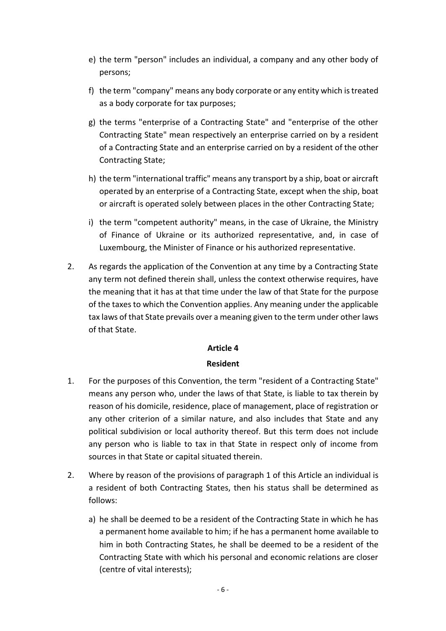- e) the term "person" includes an individual, a company and any other body of persons;
- f) the term "company" means any body corporate or any entity which is treated as a body corporate for tax purposes;
- g) the terms "enterprise of a Contracting State" and "enterprise of the other Contracting State" mean respectively an enterprise carried on by a resident of a Contracting State and an enterprise carried on by a resident of the other Contracting State;
- h) the term "international traffic" means any transport by a ship, boat or aircraft operated by an enterprise of a Contracting State, except when the ship, boat or aircraft is operated solely between places in the other Contracting State;
- i) the term "competent authority" means, in the case of Ukraine, the Ministry of Finance of Ukraine or its authorized representative, and, in case of Luxembourg, the Minister of Finance or his authorized representative.
- 2. As regards the application of the Convention at any time by a Contracting State any term not defined therein shall, unless the context otherwise requires, have the meaning that it has at that time under the law of that State for the purpose of the taxes to which the Convention applies. Any meaning under the applicable tax laws of that State prevails over a meaning given to the term under other laws of that State.

#### **Resident**

- 1. For the purposes of this Convention, the term "resident of a Contracting State" means any person who, under the laws of that State, is liable to tax therein by reason of his domicile, residence, place of management, place of registration or any other criterion of a similar nature, and also includes that State and any political subdivision or local authority thereof. But this term does not include any person who is liable to tax in that State in respect only of income from sources in that State or capital situated therein.
- 2. Where by reason of the provisions of paragraph 1 of this Article an individual is a resident of both Contracting States, then his status shall be determined as follows:
	- a) he shall be deemed to be a resident of the Contracting State in which he has a permanent home available to him; if he has a permanent home available to him in both Contracting States, he shall be deemed to be a resident of the Contracting State with which his personal and economic relations are closer (centre of vital interests);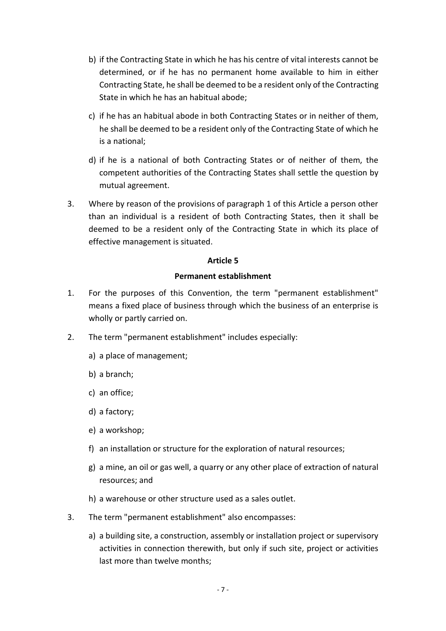- b) if the Contracting State in which he has his centre of vital interests cannot be determined, or if he has no permanent home available to him in either Contracting State, he shall be deemed to be a resident only of the Contracting State in which he has an habitual abode;
- c) if he has an habitual abode in both Contracting States or in neither of them, he shall be deemed to be a resident only of the Contracting State of which he is a national;
- d) if he is a national of both Contracting States or of neither of them, the competent authorities of the Contracting States shall settle the question by mutual agreement.
- 3. Where by reason of the provisions of paragraph 1 of this Article a person other than an individual is a resident of both Contracting States, then it shall be deemed to be a resident only of the Contracting State in which its place of effective management is situated.

#### **Permanent establishment**

- 1. For the purposes of this Convention, the term "permanent establishment" means a fixed place of business through which the business of an enterprise is wholly or partly carried on.
- 2. The term "permanent establishment" includes especially:
	- a) a place of management;
	- b) a branch;
	- c) an office;
	- d) a factory;
	- e) a workshop;
	- f) an installation or structure for the exploration of natural resources;
	- g) a mine, an oil or gas well, a quarry or any other place of extraction of natural resources; and
	- h) a warehouse or other structure used as a sales outlet.
- 3. The term "permanent establishment" also encompasses:
	- a) a building site, a construction, assembly or installation project or supervisory activities in connection therewith, but only if such site, project or activities last more than twelve months;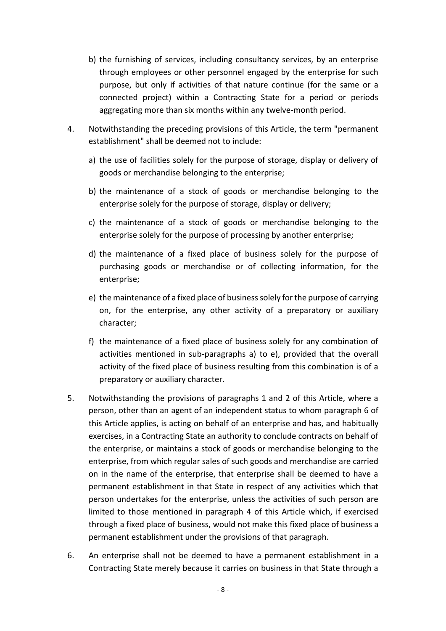- b) the furnishing of services, including consultancy services, by an enterprise through employees or other personnel engaged by the enterprise for such purpose, but only if activities of that nature continue (for the same or a connected project) within a Contracting State for a period or periods aggregating more than six months within any twelve-month period.
- 4. Notwithstanding the preceding provisions of this Article, the term "permanent establishment" shall be deemed not to include:
	- a) the use of facilities solely for the purpose of storage, display or delivery of goods or merchandise belonging to the enterprise;
	- b) the maintenance of a stock of goods or merchandise belonging to the enterprise solely for the purpose of storage, display or delivery;
	- c) the maintenance of a stock of goods or merchandise belonging to the enterprise solely for the purpose of processing by another enterprise;
	- d) the maintenance of a fixed place of business solely for the purpose of purchasing goods or merchandise or of collecting information, for the enterprise;
	- e) the maintenance of a fixed place of business solely for the purpose of carrying on, for the enterprise, any other activity of a preparatory or auxiliary character;
	- f) the maintenance of a fixed place of business solely for any combination of activities mentioned in sub-paragraphs a) to e), provided that the overall activity of the fixed place of business resulting from this combination is of a preparatory or auxiliary character.
- 5. Notwithstanding the provisions of paragraphs 1 and 2 of this Article, where a person, other than an agent of an independent status to whom paragraph 6 of this Article applies, is acting on behalf of an enterprise and has, and habitually exercises, in a Contracting State an authority to conclude contracts on behalf of the enterprise, or maintains a stock of goods or merchandise belonging to the enterprise, from which regular sales of such goods and merchandise are carried on in the name of the enterprise, that enterprise shall be deemed to have a permanent establishment in that State in respect of any activities which that person undertakes for the enterprise, unless the activities of such person are limited to those mentioned in paragraph 4 of this Article which, if exercised through a fixed place of business, would not make this fixed place of business a permanent establishment under the provisions of that paragraph.
- 6. An enterprise shall not be deemed to have a permanent establishment in a Contracting State merely because it carries on business in that State through a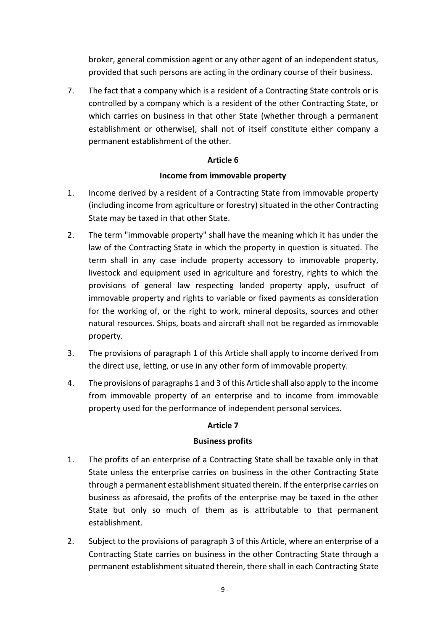broker, general commission agent or any other agent of an independent status, provided that such persons are acting in the ordinary course of their business.

7. The fact that a company which is a resident of a Contracting State controls or is controlled by a company which is a resident of the other Contracting State, or which carries on business in that other State (whether through a permanent establishment or otherwise), shall not of itself constitute either company a permanent establishment of the other.

#### **Article 6**

#### **Income from immovable property**

- 1. Income derived by a resident of a Contracting State from immovable property (including income from agriculture or forestry) situated in the other Contracting State may be taxed in that other State.
- 2. The term "immovable property" shall have the meaning which it has under the law of the Contracting State in which the property in question is situated. The term shall in any case include property accessory to immovable property, livestock and equipment used in agriculture and forestry, rights to which the provisions of general law respecting landed property apply, usufruct of immovable property and rights to variable or fixed payments as consideration for the working of, or the right to work, mineral deposits, sources and other natural resources. Ships, boats and aircraft shall not be regarded as immovable property.
- 3. The provisions of paragraph 1 of this Article shall apply to income derived from the direct use, letting, or use in any other form of immovable property.
- 4. The provisions of paragraphs 1 and 3 of this Article shall also apply to the income from immovable property of an enterprise and to income from immovable property used for the performance of independent personal services.

# **Article 7**

#### **Business profits**

- 1. The profits of an enterprise of a Contracting State shall be taxable only in that State unless the enterprise carries on business in the other Contracting State through a permanent establishment situated therein. If the enterprise carries on business as aforesaid, the profits of the enterprise may be taxed in the other State but only so much of them as is attributable to that permanent establishment.
- 2. Subject to the provisions of paragraph 3 of this Article, where an enterprise of a Contracting State carries on business in the other Contracting State through a permanent establishment situated therein, there shall in each Contracting State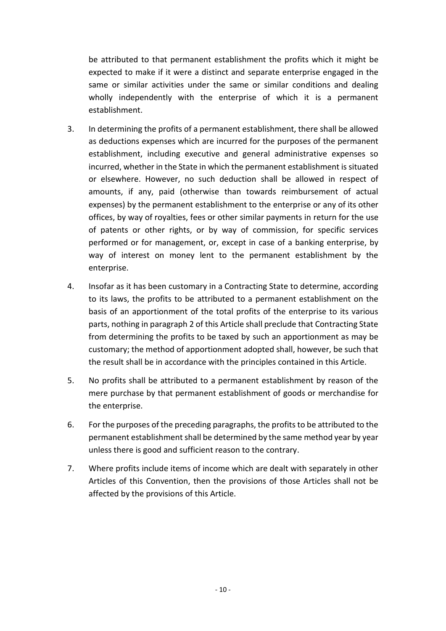be attributed to that permanent establishment the profits which it might be expected to make if it were a distinct and separate enterprise engaged in the same or similar activities under the same or similar conditions and dealing wholly independently with the enterprise of which it is a permanent establishment.

- 3. In determining the profits of a permanent establishment, there shall be allowed as deductions expenses which are incurred for the purposes of the permanent establishment, including executive and general administrative expenses so incurred, whether in the State in which the permanent establishment is situated or elsewhere. However, no such deduction shall be allowed in respect of amounts, if any, paid (otherwise than towards reimbursement of actual expenses) by the permanent establishment to the enterprise or any of its other offices, by way of royalties, fees or other similar payments in return for the use of patents or other rights, or by way of commission, for specific services performed or for management, or, except in case of a banking enterprise, by way of interest on money lent to the permanent establishment by the enterprise.
- 4. Insofar as it has been customary in a Contracting State to determine, according to its laws, the profits to be attributed to a permanent establishment on the basis of an apportionment of the total profits of the enterprise to its various parts, nothing in paragraph 2 of this Article shall preclude that Contracting State from determining the profits to be taxed by such an apportionment as may be customary; the method of apportionment adopted shall, however, be such that the result shall be in accordance with the principles contained in this Article.
- 5. No profits shall be attributed to a permanent establishment by reason of the mere purchase by that permanent establishment of goods or merchandise for the enterprise.
- 6. For the purposes of the preceding paragraphs, the profits to be attributed to the permanent establishment shall be determined by the same method year by year unless there is good and sufficient reason to the contrary.
- 7. Where profits include items of income which are dealt with separately in other Articles of this Convention, then the provisions of those Articles shall not be affected by the provisions of this Article.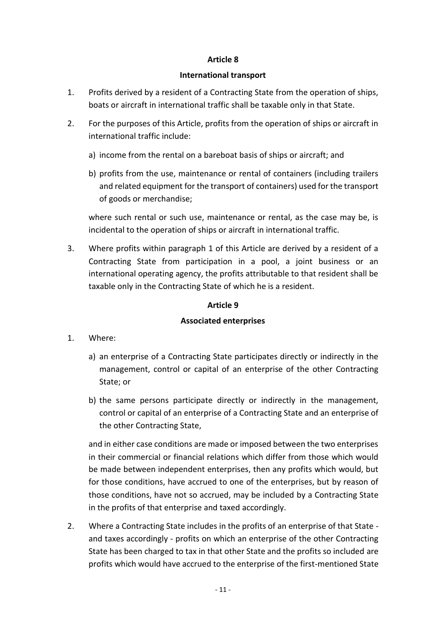#### **International transport**

- 1. Profits derived by a resident of a Contracting State from the operation of ships, boats or aircraft in international traffic shall be taxable only in that State.
- 2. For the purposes of this Article, profits from the operation of ships or aircraft in international traffic include:
	- a) income from the rental on a bareboat basis of ships or aircraft; and
	- b) profits from the use, maintenance or rental of containers (including trailers and related equipment for the transport of containers) used for the transport of goods or merchandise;

where such rental or such use, maintenance or rental, as the case may be, is incidental to the operation of ships or aircraft in international traffic.

3. Where profits within paragraph 1 of this Article are derived by a resident of a Contracting State from participation in a pool, a joint business or an international operating agency, the profits attributable to that resident shall be taxable only in the Contracting State of which he is a resident.

#### **Article 9**

#### **Associated enterprises**

- 1. Where:
	- a) an enterprise of a Contracting State participates directly or indirectly in the management, control or capital of an enterprise of the other Contracting State; or
	- b) the same persons participate directly or indirectly in the management, control or capital of an enterprise of a Contracting State and an enterprise of the other Contracting State,

and in either case conditions are made or imposed between the two enterprises in their commercial or financial relations which differ from those which would be made between independent enterprises, then any profits which would, but for those conditions, have accrued to one of the enterprises, but by reason of those conditions, have not so accrued, may be included by a Contracting State in the profits of that enterprise and taxed accordingly.

2. Where a Contracting State includes in the profits of an enterprise of that State and taxes accordingly - profits on which an enterprise of the other Contracting State has been charged to tax in that other State and the profits so included are profits which would have accrued to the enterprise of the first-mentioned State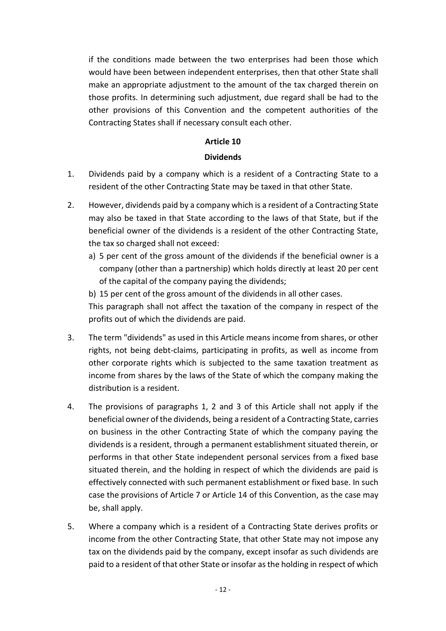if the conditions made between the two enterprises had been those which would have been between independent enterprises, then that other State shall make an appropriate adjustment to the amount of the tax charged therein on those profits. In determining such adjustment, due regard shall be had to the other provisions of this Convention and the competent authorities of the Contracting States shall if necessary consult each other.

#### **Article 10**

#### **Dividends**

- 1. Dividends paid by a company which is a resident of a Contracting State to a resident of the other Contracting State may be taxed in that other State.
- 2. However, dividends paid by a company which is a resident of a Contracting State may also be taxed in that State according to the laws of that State, but if the beneficial owner of the dividends is a resident of the other Contracting State, the tax so charged shall not exceed:
	- a) 5 per cent of the gross amount of the dividends if the beneficial owner is a company (other than a partnership) which holds directly at least 20 per cent of the capital of the company paying the dividends;
	- b) 15 per cent of the gross amount of the dividends in all other cases.

This paragraph shall not affect the taxation of the company in respect of the profits out of which the dividends are paid.

- 3. The term "dividends" as used in this Article means income from shares, or other rights, not being debt-claims, participating in profits, as well as income from other corporate rights which is subjected to the same taxation treatment as income from shares by the laws of the State of which the company making the distribution is a resident.
- 4. The provisions of paragraphs 1, 2 and 3 of this Article shall not apply if the beneficial owner of the dividends, being a resident of a Contracting State, carries on business in the other Contracting State of which the company paying the dividends is a resident, through a permanent establishment situated therein, or performs in that other State independent personal services from a fixed base situated therein, and the holding in respect of which the dividends are paid is effectively connected with such permanent establishment or fixed base. In such case the provisions of Article 7 or Article 14 of this Convention, as the case may be, shall apply.
- 5. Where a company which is a resident of a Contracting State derives profits or income from the other Contracting State, that other State may not impose any tax on the dividends paid by the company, except insofar as such dividends are paid to a resident of that other State or insofar as the holding in respect of which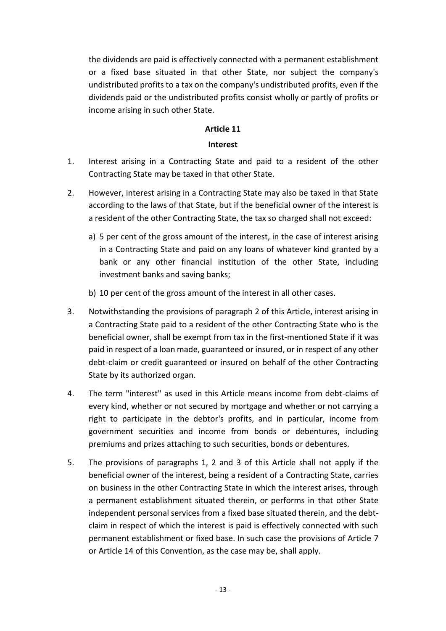the dividends are paid is effectively connected with a permanent establishment or a fixed base situated in that other State, nor subject the company's undistributed profits to a tax on the company's undistributed profits, even if the dividends paid or the undistributed profits consist wholly or partly of profits or income arising in such other State.

#### **Article 11**

#### **Interest**

- 1. Interest arising in a Contracting State and paid to a resident of the other Contracting State may be taxed in that other State.
- 2. However, interest arising in a Contracting State may also be taxed in that State according to the laws of that State, but if the beneficial owner of the interest is a resident of the other Contracting State, the tax so charged shall not exceed:
	- a) 5 per cent of the gross amount of the interest, in the case of interest arising in a Contracting State and paid on any loans of whatever kind granted by a bank or any other financial institution of the other State, including investment banks and saving banks;
	- b) 10 per cent of the gross amount of the interest in all other cases.
- 3. Notwithstanding the provisions of paragraph 2 of this Article, interest arising in a Contracting State paid to a resident of the other Contracting State who is the beneficial owner, shall be exempt from tax in the first-mentioned State if it was paid in respect of a loan made, guaranteed or insured, or in respect of any other debt-claim or credit guaranteed or insured on behalf of the other Contracting State by its authorized organ.
- 4. The term "interest" as used in this Article means income from debt-claims of every kind, whether or not secured by mortgage and whether or not carrying a right to participate in the debtor's profits, and in particular, income from government securities and income from bonds or debentures, including premiums and prizes attaching to such securities, bonds or debentures.
- 5. The provisions of paragraphs 1, 2 and 3 of this Article shall not apply if the beneficial owner of the interest, being a resident of a Contracting State, carries on business in the other Contracting State in which the interest arises, through a permanent establishment situated therein, or performs in that other State independent personal services from a fixed base situated therein, and the debtclaim in respect of which the interest is paid is effectively connected with such permanent establishment or fixed base. In such case the provisions of Article 7 or Article 14 of this Convention, as the case may be, shall apply.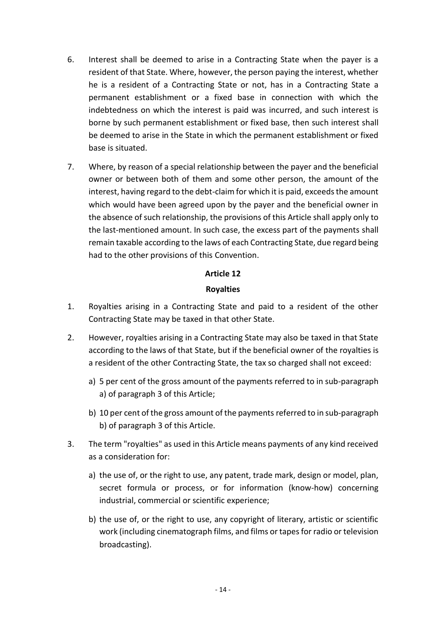- 6. Interest shall be deemed to arise in a Contracting State when the payer is a resident of that State. Where, however, the person paying the interest, whether he is a resident of a Contracting State or not, has in a Contracting State a permanent establishment or a fixed base in connection with which the indebtedness on which the interest is paid was incurred, and such interest is borne by such permanent establishment or fixed base, then such interest shall be deemed to arise in the State in which the permanent establishment or fixed base is situated.
- 7. Where, by reason of a special relationship between the payer and the beneficial owner or between both of them and some other person, the amount of the interest, having regard to the debt-claim for which it is paid, exceeds the amount which would have been agreed upon by the payer and the beneficial owner in the absence of such relationship, the provisions of this Article shall apply only to the last-mentioned amount. In such case, the excess part of the payments shall remain taxable according to the laws of each Contracting State, due regard being had to the other provisions of this Convention.

#### **Royalties**

- 1. Royalties arising in a Contracting State and paid to a resident of the other Contracting State may be taxed in that other State.
- 2. However, royalties arising in a Contracting State may also be taxed in that State according to the laws of that State, but if the beneficial owner of the royalties is a resident of the other Contracting State, the tax so charged shall not exceed:
	- a) 5 per cent of the gross amount of the payments referred to in sub-paragraph a) of paragraph 3 of this Article;
	- b) 10 per cent of the gross amount of the payments referred to in sub-paragraph b) of paragraph 3 of this Article.
- 3. The term "royalties" as used in this Article means payments of any kind received as a consideration for:
	- a) the use of, or the right to use, any patent, trade mark, design or model, plan, secret formula or process, or for information (know-how) concerning industrial, commercial or scientific experience;
	- b) the use of, or the right to use, any copyright of literary, artistic or scientific work (including cinematograph films, and films or tapes for radio or television broadcasting).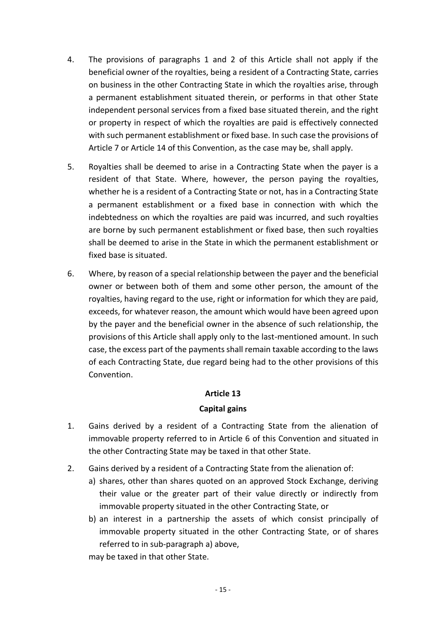- 4. The provisions of paragraphs 1 and 2 of this Article shall not apply if the beneficial owner of the royalties, being a resident of a Contracting State, carries on business in the other Contracting State in which the royalties arise, through a permanent establishment situated therein, or performs in that other State independent personal services from a fixed base situated therein, and the right or property in respect of which the royalties are paid is effectively connected with such permanent establishment or fixed base. In such case the provisions of Article 7 or Article 14 of this Convention, as the case may be, shall apply.
- 5. Royalties shall be deemed to arise in a Contracting State when the payer is a resident of that State. Where, however, the person paying the royalties, whether he is a resident of a Contracting State or not, has in a Contracting State a permanent establishment or a fixed base in connection with which the indebtedness on which the royalties are paid was incurred, and such royalties are borne by such permanent establishment or fixed base, then such royalties shall be deemed to arise in the State in which the permanent establishment or fixed base is situated.
- 6. Where, by reason of a special relationship between the payer and the beneficial owner or between both of them and some other person, the amount of the royalties, having regard to the use, right or information for which they are paid, exceeds, for whatever reason, the amount which would have been agreed upon by the payer and the beneficial owner in the absence of such relationship, the provisions of this Article shall apply only to the last-mentioned amount. In such case, the excess part of the payments shall remain taxable according to the laws of each Contracting State, due regard being had to the other provisions of this Convention.

#### **Capital gains**

- 1. Gains derived by a resident of a Contracting State from the alienation of immovable property referred to in Article 6 of this Convention and situated in the other Contracting State may be taxed in that other State.
- 2. Gains derived by a resident of a Contracting State from the alienation of:
	- a) shares, other than shares quoted on an approved Stock Exchange, deriving their value or the greater part of their value directly or indirectly from immovable property situated in the other Contracting State, or
		- b) an interest in a partnership the assets of which consist principally of immovable property situated in the other Contracting State, or of shares referred to in sub-paragraph a) above,

may be taxed in that other State.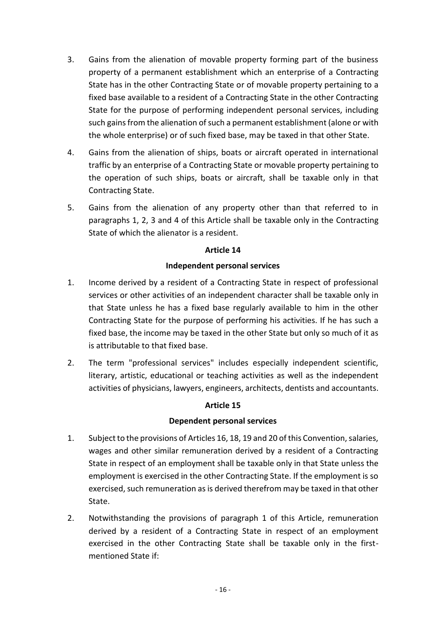- 3. Gains from the alienation of movable property forming part of the business property of a permanent establishment which an enterprise of a Contracting State has in the other Contracting State or of movable property pertaining to a fixed base available to a resident of a Contracting State in the other Contracting State for the purpose of performing independent personal services, including such gains from the alienation of such a permanent establishment (alone or with the whole enterprise) or of such fixed base, may be taxed in that other State.
- 4. Gains from the alienation of ships, boats or aircraft operated in international traffic by an enterprise of a Contracting State or movable property pertaining to the operation of such ships, boats or aircraft, shall be taxable only in that Contracting State.
- 5. Gains from the alienation of any property other than that referred to in paragraphs 1, 2, 3 and 4 of this Article shall be taxable only in the Contracting State of which the alienator is a resident.

# **Independent personal services**

- 1. Income derived by a resident of a Contracting State in respect of professional services or other activities of an independent character shall be taxable only in that State unless he has a fixed base regularly available to him in the other Contracting State for the purpose of performing his activities. If he has such a fixed base, the income may be taxed in the other State but only so much of it as is attributable to that fixed base.
- 2. The term "professional services" includes especially independent scientific, literary, artistic, educational or teaching activities as well as the independent activities of physicians, lawyers, engineers, architects, dentists and accountants.

#### **Article 15**

#### **Dependent personal services**

- 1. Subject to the provisions of Articles 16, 18, 19 and 20 of this Convention, salaries, wages and other similar remuneration derived by a resident of a Contracting State in respect of an employment shall be taxable only in that State unless the employment is exercised in the other Contracting State. If the employment is so exercised, such remuneration as is derived therefrom may be taxed in that other State.
- 2. Notwithstanding the provisions of paragraph 1 of this Article, remuneration derived by a resident of a Contracting State in respect of an employment exercised in the other Contracting State shall be taxable only in the firstmentioned State if: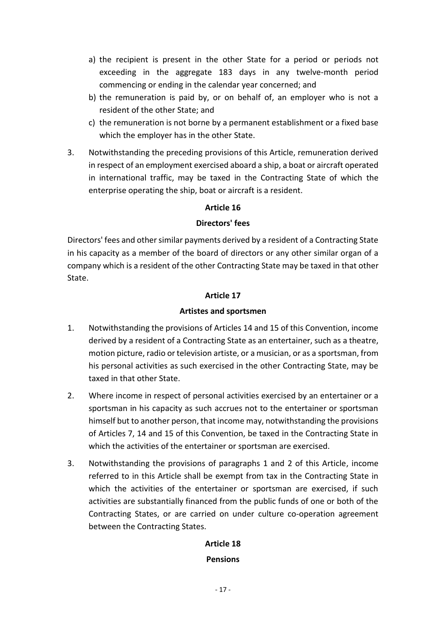- a) the recipient is present in the other State for a period or periods not exceeding in the aggregate 183 days in any twelve-month period commencing or ending in the calendar year concerned; and
- b) the remuneration is paid by, or on behalf of, an employer who is not a resident of the other State; and
- c) the remuneration is not borne by a permanent establishment or a fixed base which the employer has in the other State.
- 3. Notwithstanding the preceding provisions of this Article, remuneration derived in respect of an employment exercised aboard a ship, a boat or aircraft operated in international traffic, may be taxed in the Contracting State of which the enterprise operating the ship, boat or aircraft is a resident.

# **Directors' fees**

Directors' fees and other similar payments derived by a resident of a Contracting State in his capacity as a member of the board of directors or any other similar organ of a company which is a resident of the other Contracting State may be taxed in that other State.

# **Article 17**

#### **Artistes and sportsmen**

- 1. Notwithstanding the provisions of Articles 14 and 15 of this Convention, income derived by a resident of a Contracting State as an entertainer, such as a theatre, motion picture, radio or television artiste, or a musician, or as a sportsman, from his personal activities as such exercised in the other Contracting State, may be taxed in that other State.
- 2. Where income in respect of personal activities exercised by an entertainer or a sportsman in his capacity as such accrues not to the entertainer or sportsman himself but to another person, that income may, notwithstanding the provisions of Articles 7, 14 and 15 of this Convention, be taxed in the Contracting State in which the activities of the entertainer or sportsman are exercised.
- 3. Notwithstanding the provisions of paragraphs 1 and 2 of this Article, income referred to in this Article shall be exempt from tax in the Contracting State in which the activities of the entertainer or sportsman are exercised, if such activities are substantially financed from the public funds of one or both of the Contracting States, or are carried on under culture co-operation agreement between the Contracting States.

#### **Article 18**

#### **Pensions**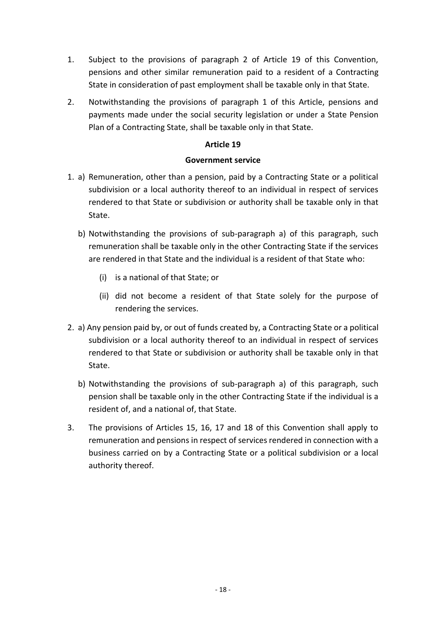- 1. Subject to the provisions of paragraph 2 of Article 19 of this Convention, pensions and other similar remuneration paid to a resident of a Contracting State in consideration of past employment shall be taxable only in that State.
- 2. Notwithstanding the provisions of paragraph 1 of this Article, pensions and payments made under the social security legislation or under a State Pension Plan of a Contracting State, shall be taxable only in that State.

#### **Government service**

- 1. a) Remuneration, other than a pension, paid by a Contracting State or a political subdivision or a local authority thereof to an individual in respect of services rendered to that State or subdivision or authority shall be taxable only in that State.
	- b) Notwithstanding the provisions of sub-paragraph a) of this paragraph, such remuneration shall be taxable only in the other Contracting State if the services are rendered in that State and the individual is a resident of that State who:
		- (i) is a national of that State; or
		- (ii) did not become a resident of that State solely for the purpose of rendering the services.
- 2. a) Any pension paid by, or out of funds created by, a Contracting State or a political subdivision or a local authority thereof to an individual in respect of services rendered to that State or subdivision or authority shall be taxable only in that State.
	- b) Notwithstanding the provisions of sub-paragraph a) of this paragraph, such pension shall be taxable only in the other Contracting State if the individual is a resident of, and a national of, that State.
- 3. The provisions of Articles 15, 16, 17 and 18 of this Convention shall apply to remuneration and pensions in respect of services rendered in connection with a business carried on by a Contracting State or a political subdivision or a local authority thereof.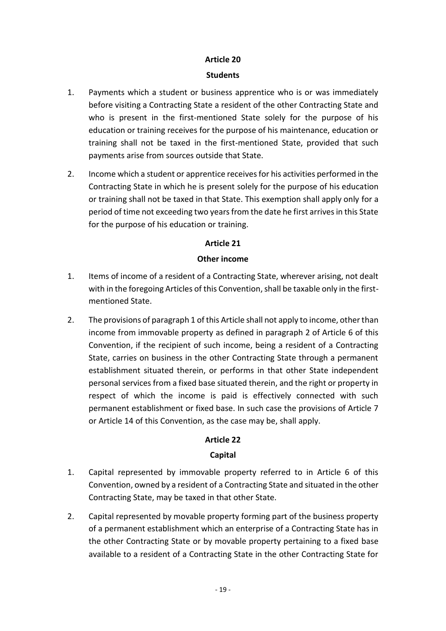#### **Students**

- 1. Payments which a student or business apprentice who is or was immediately before visiting a Contracting State a resident of the other Contracting State and who is present in the first-mentioned State solely for the purpose of his education or training receives for the purpose of his maintenance, education or training shall not be taxed in the first-mentioned State, provided that such payments arise from sources outside that State.
- 2. Income which a student or apprentice receives for his activities performed in the Contracting State in which he is present solely for the purpose of his education or training shall not be taxed in that State. This exemption shall apply only for a period of time not exceeding two years from the date he first arrives in this State for the purpose of his education or training.

#### **Article 21**

# **Other income**

- 1. Items of income of a resident of a Contracting State, wherever arising, not dealt with in the foregoing Articles of this Convention, shall be taxable only in the firstmentioned State.
- 2. The provisions of paragraph 1 of this Article shall not apply to income, other than income from immovable property as defined in paragraph 2 of Article 6 of this Convention, if the recipient of such income, being a resident of a Contracting State, carries on business in the other Contracting State through a permanent establishment situated therein, or performs in that other State independent personal services from a fixed base situated therein, and the right or property in respect of which the income is paid is effectively connected with such permanent establishment or fixed base. In such case the provisions of Article 7 or Article 14 of this Convention, as the case may be, shall apply.

#### **Article 22**

# **Capital**

- 1. Capital represented by immovable property referred to in Article 6 of this Convention, owned by a resident of a Contracting State and situated in the other Contracting State, may be taxed in that other State.
- 2. Capital represented by movable property forming part of the business property of a permanent establishment which an enterprise of a Contracting State has in the other Contracting State or by movable property pertaining to a fixed base available to a resident of a Contracting State in the other Contracting State for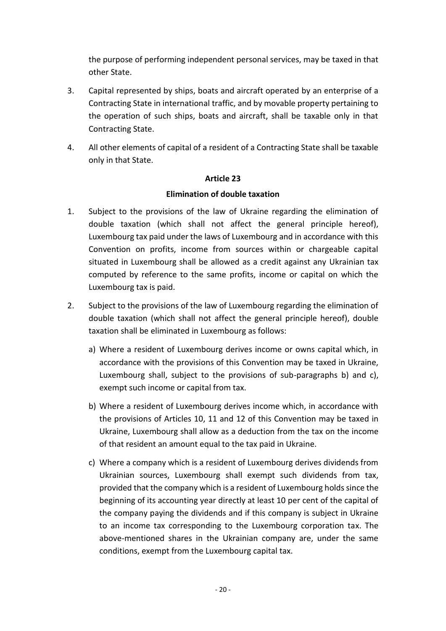the purpose of performing independent personal services, may be taxed in that other State.

- 3. Capital represented by ships, boats and aircraft operated by an enterprise of a Contracting State in international traffic, and by movable property pertaining to the operation of such ships, boats and aircraft, shall be taxable only in that Contracting State.
- 4. All other elements of capital of a resident of a Contracting State shall be taxable only in that State.

#### **Article 23**

#### **Elimination of double taxation**

- 1. Subject to the provisions of the law of Ukraine regarding the elimination of double taxation (which shall not affect the general principle hereof), Luxembourg tax paid under the laws of Luxembourg and in accordance with this Convention on profits, income from sources within or chargeable capital situated in Luxembourg shall be allowed as a credit against any Ukrainian tax computed by reference to the same profits, income or capital on which the Luxembourg tax is paid.
- 2. Subject to the provisions of the law of Luxembourg regarding the elimination of double taxation (which shall not affect the general principle hereof), double taxation shall be eliminated in Luxembourg as follows:
	- a) Where a resident of Luxembourg derives income or owns capital which, in accordance with the provisions of this Convention may be taxed in Ukraine, Luxembourg shall, subject to the provisions of sub-paragraphs b) and c), exempt such income or capital from tax.
	- b) Where a resident of Luxembourg derives income which, in accordance with the provisions of Articles 10, 11 and 12 of this Convention may be taxed in Ukraine, Luxembourg shall allow as a deduction from the tax on the income of that resident an amount equal to the tax paid in Ukraine.
	- c) Where a company which is a resident of Luxembourg derives dividends from Ukrainian sources, Luxembourg shall exempt such dividends from tax, provided that the company which is a resident of Luxembourg holds since the beginning of its accounting year directly at least 10 per cent of the capital of the company paying the dividends and if this company is subject in Ukraine to an income tax corresponding to the Luxembourg corporation tax. The above-mentioned shares in the Ukrainian company are, under the same conditions, exempt from the Luxembourg capital tax.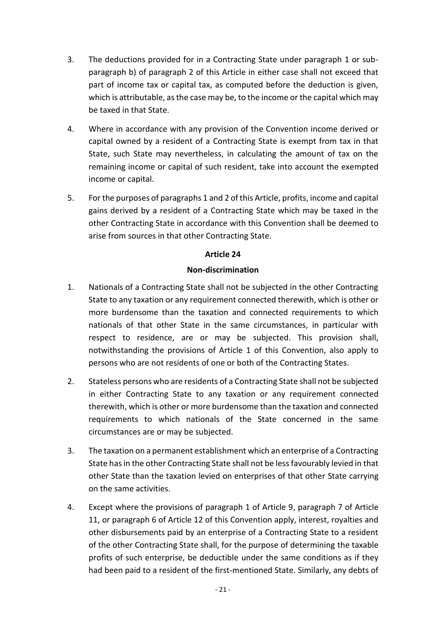- 3. The deductions provided for in a Contracting State under paragraph 1 or subparagraph b) of paragraph 2 of this Article in either case shall not exceed that part of income tax or capital tax, as computed before the deduction is given, which is attributable, as the case may be, to the income or the capital which may be taxed in that State.
- 4. Where in accordance with any provision of the Convention income derived or capital owned by a resident of a Contracting State is exempt from tax in that State, such State may nevertheless, in calculating the amount of tax on the remaining income or capital of such resident, take into account the exempted income or capital.
- 5. For the purposes of paragraphs 1 and 2 of this Article, profits, income and capital gains derived by a resident of a Contracting State which may be taxed in the other Contracting State in accordance with this Convention shall be deemed to arise from sources in that other Contracting State.

#### **Non-discrimination**

- 1. Nationals of a Contracting State shall not be subjected in the other Contracting State to any taxation or any requirement connected therewith, which is other or more burdensome than the taxation and connected requirements to which nationals of that other State in the same circumstances, in particular with respect to residence, are or may be subjected. This provision shall, notwithstanding the provisions of Article 1 of this Convention, also apply to persons who are not residents of one or both of the Contracting States.
- 2. Stateless persons who are residents of a Contracting State shall not be subjected in either Contracting State to any taxation or any requirement connected therewith, which is other or more burdensome than the taxation and connected requirements to which nationals of the State concerned in the same circumstances are or may be subjected.
- 3. The taxation on a permanent establishment which an enterprise of a Contracting State has in the other Contracting State shall not be less favourably levied in that other State than the taxation levied on enterprises of that other State carrying on the same activities.
- 4. Except where the provisions of paragraph 1 of Article 9, paragraph 7 of Article 11, or paragraph 6 of Article 12 of this Convention apply, interest, royalties and other disbursements paid by an enterprise of a Contracting State to a resident of the other Contracting State shall, for the purpose of determining the taxable profits of such enterprise, be deductible under the same conditions as if they had been paid to a resident of the first-mentioned State. Similarly, any debts of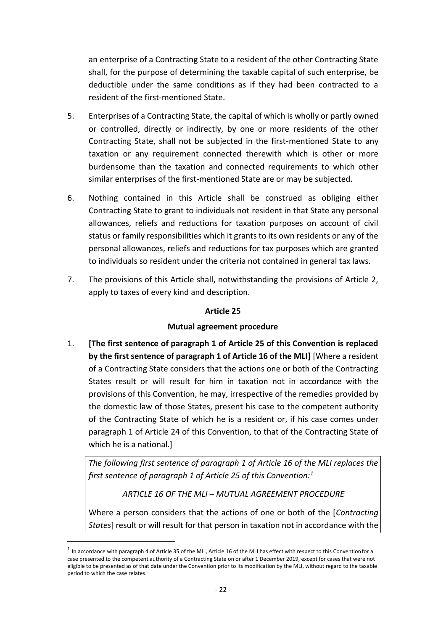an enterprise of a Contracting State to a resident of the other Contracting State shall, for the purpose of determining the taxable capital of such enterprise, be deductible under the same conditions as if they had been contracted to a resident of the first-mentioned State.

- 5. Enterprises of a Contracting State, the capital of which is wholly or partly owned or controlled, directly or indirectly, by one or more residents of the other Contracting State, shall not be subjected in the first-mentioned State to any taxation or any requirement connected therewith which is other or more burdensome than the taxation and connected requirements to which other similar enterprises of the first-mentioned State are or may be subjected.
- 6. Nothing contained in this Article shall be construed as obliging either Contracting State to grant to individuals not resident in that State any personal allowances, reliefs and reductions for taxation purposes on account of civil status or family responsibilities which it grants to its own residents or any of the personal allowances, reliefs and reductions for tax purposes which are granted to individuals so resident under the criteria not contained in general tax laws.
- 7. The provisions of this Article shall, notwithstanding the provisions of Article 2, apply to taxes of every kind and description.

#### **Article 25**

#### **Mutual agreement procedure**

1. **[The first sentence of paragraph 1 of Article 25 of this Convention is replaced by the first sentence of paragraph 1 of Article 16 of the MLI]** [Where a resident of a Contracting State considers that the actions one or both of the Contracting States result or will result for him in taxation not in accordance with the provisions of this Convention, he may, irrespective of the remedies provided by the domestic law of those States, present his case to the competent authority of the Contracting State of which he is a resident or, if his case comes under paragraph 1 of Article 24 of this Convention, to that of the Contracting State of which he is a national.]

*The following first sentence of paragraph 1 of Article 16 of the MLI replaces the first sentence of paragraph 1 of Article 25 of this Convention:<sup>1</sup>*

*ARTICLE 16 OF THE MLI – MUTUAL AGREEMENT PROCEDURE*

Where a person considers that the actions of one or both of the [*Contracting States*] result or will result for that person in taxation not in accordance with the

<u>.</u>

 $1$  In accordance with paragraph 4 of Article 35 of the MLI, Article 16 of the MLI has effect with respect to this Convention for a case presented to the competent authority of a Contracting State on or after 1 December 2019, except for cases that were not eligible to be presented as of that date under the Convention prior to its modification by the MLI, without regard to the taxable period to which the case relates.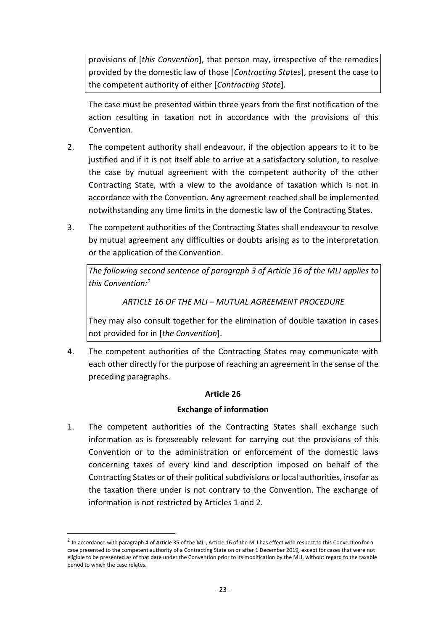provisions of [*this Convention*], that person may, irrespective of the remedies provided by the domestic law of those [*Contracting States*], present the case to the competent authority of either [*Contracting State*].

The case must be presented within three years from the first notification of the action resulting in taxation not in accordance with the provisions of this Convention.

- 2. The competent authority shall endeavour, if the objection appears to it to be justified and if it is not itself able to arrive at a satisfactory solution, to resolve the case by mutual agreement with the competent authority of the other Contracting State, with a view to the avoidance of taxation which is not in accordance with the Convention. Any agreement reached shall be implemented notwithstanding any time limits in the domestic law of the Contracting States.
- 3. The competent authorities of the Contracting States shall endeavour to resolve by mutual agreement any difficulties or doubts arising as to the interpretation or the application of the Convention.

*The following second sentence of paragraph 3 of Article 16 of the MLI applies to this Convention: 2*

*ARTICLE 16 OF THE MLI – MUTUAL AGREEMENT PROCEDURE*

They may also consult together for the elimination of double taxation in cases not provided for in [*the Convention*].

4. The competent authorities of the Contracting States may communicate with each other directly for the purpose of reaching an agreement in the sense of the preceding paragraphs.

#### **Article 26**

#### **Exchange of information**

1. The competent authorities of the Contracting States shall exchange such information as is foreseeably relevant for carrying out the provisions of this Convention or to the administration or enforcement of the domestic laws concerning taxes of every kind and description imposed on behalf of the Contracting States or of their political subdivisions or local authorities, insofar as the taxation there under is not contrary to the Convention. The exchange of information is not restricted by Articles 1 and 2.

<u>.</u>

 $^2$  In accordance with paragraph 4 of Article 35 of the MLI, Article 16 of the MLI has effect with respect to this Convention for a case presented to the competent authority of a Contracting State on or after 1 December 2019, except for cases that were not eligible to be presented as of that date under the Convention prior to its modification by the MLI, without regard to the taxable period to which the case relates.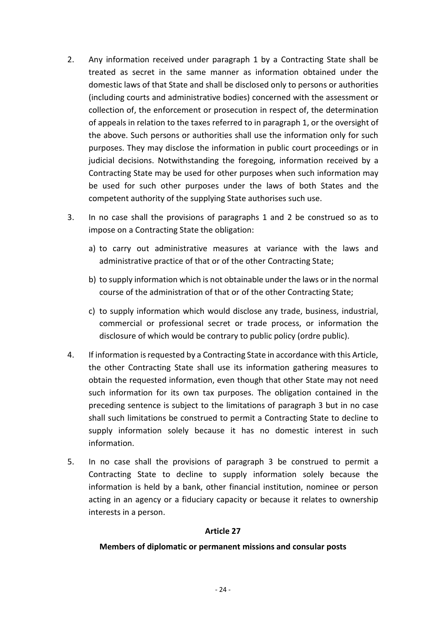- 2. Any information received under paragraph 1 by a Contracting State shall be treated as secret in the same manner as information obtained under the domestic laws of that State and shall be disclosed only to persons or authorities (including courts and administrative bodies) concerned with the assessment or collection of, the enforcement or prosecution in respect of, the determination of appeals in relation to the taxes referred to in paragraph 1, or the oversight of the above. Such persons or authorities shall use the information only for such purposes. They may disclose the information in public court proceedings or in judicial decisions. Notwithstanding the foregoing, information received by a Contracting State may be used for other purposes when such information may be used for such other purposes under the laws of both States and the competent authority of the supplying State authorises such use.
- 3. In no case shall the provisions of paragraphs 1 and 2 be construed so as to impose on a Contracting State the obligation:
	- a) to carry out administrative measures at variance with the laws and administrative practice of that or of the other Contracting State;
	- b) to supply information which is not obtainable under the laws or in the normal course of the administration of that or of the other Contracting State;
	- c) to supply information which would disclose any trade, business, industrial, commercial or professional secret or trade process, or information the disclosure of which would be contrary to public policy (ordre public).
- 4. If information is requested by a Contracting State in accordance with this Article, the other Contracting State shall use its information gathering measures to obtain the requested information, even though that other State may not need such information for its own tax purposes. The obligation contained in the preceding sentence is subject to the limitations of paragraph 3 but in no case shall such limitations be construed to permit a Contracting State to decline to supply information solely because it has no domestic interest in such information.
- 5. In no case shall the provisions of paragraph 3 be construed to permit a Contracting State to decline to supply information solely because the information is held by a bank, other financial institution, nominee or person acting in an agency or a fiduciary capacity or because it relates to ownership interests in a person.

#### **Members of diplomatic or permanent missions and consular posts**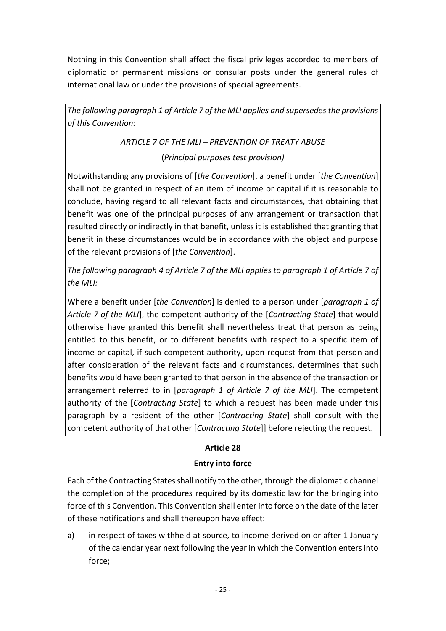Nothing in this Convention shall affect the fiscal privileges accorded to members of diplomatic or permanent missions or consular posts under the general rules of international law or under the provisions of special agreements.

*The following paragraph 1 of Article 7 of the MLI applies and supersedes the provisions of this Convention:*

# *ARTICLE 7 OF THE MLI – PREVENTION OF TREATY ABUSE* (*Principal purposes test provision)*

Notwithstanding any provisions of [*the Convention*], a benefit under [*the Convention*] shall not be granted in respect of an item of income or capital if it is reasonable to conclude, having regard to all relevant facts and circumstances, that obtaining that benefit was one of the principal purposes of any arrangement or transaction that resulted directly or indirectly in that benefit, unless it is established that granting that benefit in these circumstances would be in accordance with the object and purpose of the relevant provisions of [*the Convention*].

*The following paragraph 4 of Article 7 of the MLI applies to paragraph 1 of Article 7 of the MLI:*

Where a benefit under [*the Convention*] is denied to a person under [*paragraph 1 of Article 7 of the MLI*], the competent authority of the [*Contracting State*] that would otherwise have granted this benefit shall nevertheless treat that person as being entitled to this benefit, or to different benefits with respect to a specific item of income or capital, if such competent authority, upon request from that person and after consideration of the relevant facts and circumstances, determines that such benefits would have been granted to that person in the absence of the transaction or arrangement referred to in [*paragraph 1 of Article 7 of the MLI*]. The competent authority of the [*Contracting State*] to which a request has been made under this paragraph by a resident of the other [*Contracting State*] shall consult with the competent authority of that other [*Contracting State*]] before rejecting the request.

# **Article 28**

# **Entry into force**

Each of the Contracting States shall notify to the other, through the diplomatic channel the completion of the procedures required by its domestic law for the bringing into force of this Convention. This Convention shall enter into force on the date of the later of these notifications and shall thereupon have effect:

a) in respect of taxes withheld at source, to income derived on or after 1 January of the calendar year next following the year in which the Convention enters into force;